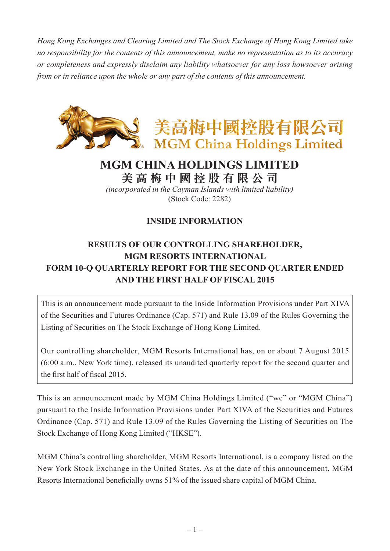*Hong Kong Exchanges and Clearing Limited and The Stock Exchange of Hong Kong Limited take no responsibility for the contents of this announcement, make no representation as to its accuracy or completeness and expressly disclaim any liability whatsoever for any loss howsoever arising from or in reliance upon the whole or any part of the contents of this announcement.*



## **MGM CHINA HOLDINGS LIMITED**

**美 高 梅 中 國 控 股 有 限 公 司** *(incorporated in the Cayman Islands with limited liability)*

(Stock Code: 2282)

## **INSIDE INFORMATION**

## **RESULTS OF OUR CONTROLLING SHAREHOLDER, MGM RESORTS INTERNATIONAL FORM 10-Q QUARTERLY REPORT FOR THE SECOND QUARTER ENDED AND THE FIRST HALF OF FISCAL 2015**

This is an announcement made pursuant to the Inside Information Provisions under Part XIVA of the Securities and Futures Ordinance (Cap. 571) and Rule 13.09 of the Rules Governing the Listing of Securities on The Stock Exchange of Hong Kong Limited.

Our controlling shareholder, MGM Resorts International has, on or about 7 August 2015 (6:00 a.m., New York time), released its unaudited quarterly report for the second quarter and the first half of fiscal 2015.

This is an announcement made by MGM China Holdings Limited ("we" or "MGM China") pursuant to the Inside Information Provisions under Part XIVA of the Securities and Futures Ordinance (Cap. 571) and Rule 13.09 of the Rules Governing the Listing of Securities on The Stock Exchange of Hong Kong Limited ("HKSE").

MGM China's controlling shareholder, MGM Resorts International, is a company listed on the New York Stock Exchange in the United States. As at the date of this announcement, MGM Resorts International beneficially owns 51% of the issued share capital of MGM China.